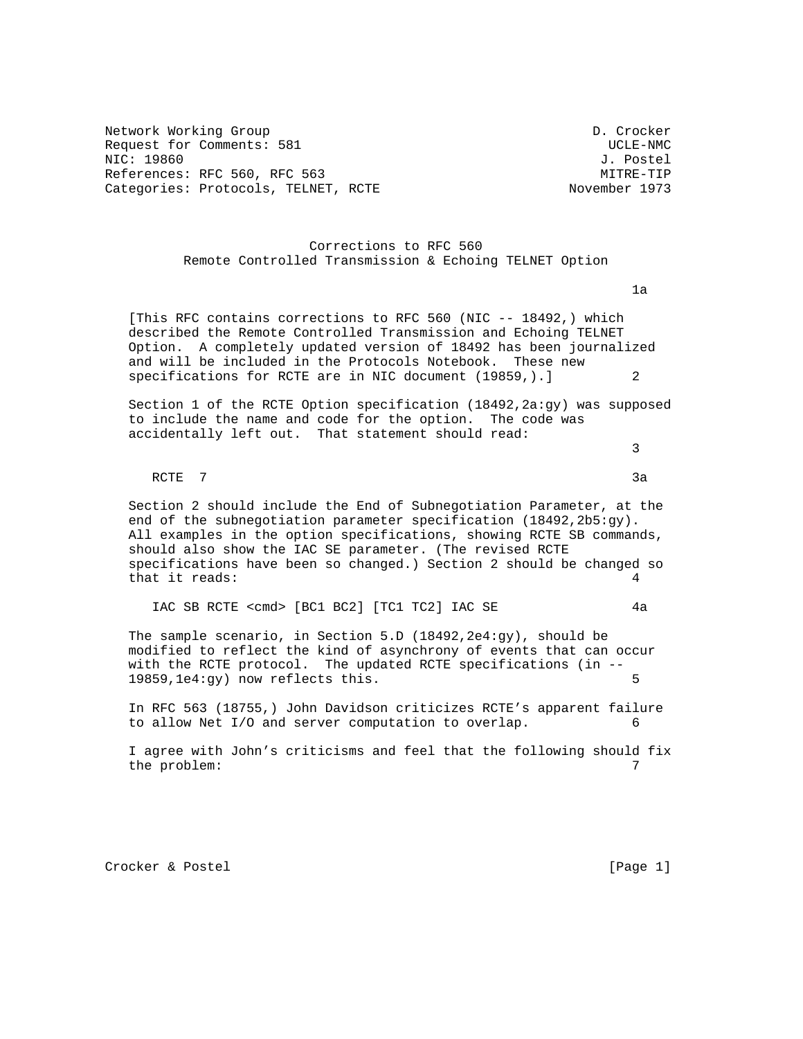Network Working Group D. Crocker Request for Comments: 581 UCLE-NMC NIC: 19860 J. Postel References: RFC 560, RFC 563 MITRE-TIP Categories: Protocols, TELNET, RCTE November 1973

## Corrections to RFC 560 Remote Controlled Transmission & Echoing TELNET Option

ta da 1992 - Antonio de Santo VII de Santo VII de Santo VII de Santo VII de Santo VII de Santo VII de Santo V<br>1992 - Antonio de Santo VII de Santo VII de Santo VII de Santo VII de Santo VII de Santo VII de Santo VII de

 [This RFC contains corrections to RFC 560 (NIC -- 18492,) which described the Remote Controlled Transmission and Echoing TELNET Option. A completely updated version of 18492 has been journalized and will be included in the Protocols Notebook. These new specifications for RCTE are in NIC document (19859,).]

Section 1 of the RCTE Option specification (18492, 2a:gy) was supposed to include the name and code for the option. The code was accidentally left out. That statement should read:

RCTE 7 3a

 $\sim$  3

 Section 2 should include the End of Subnegotiation Parameter, at the end of the subnegotiation parameter specification (18492,2b5:gy). All examples in the option specifications, showing RCTE SB commands, should also show the IAC SE parameter. (The revised RCTE specifications have been so changed.) Section 2 should be changed so that it reads:  $4$ 

IAC SB RCTE <cmd> [BC1 BC2] [TC1 TC2] IAC SE 4a

 The sample scenario, in Section 5.D (18492,2e4:gy), should be modified to reflect the kind of asynchrony of events that can occur with the RCTE protocol. The updated RCTE specifications (in -- 19859,1e4:gy) now reflects this. 5

 In RFC 563 (18755,) John Davidson criticizes RCTE's apparent failure to allow Net I/O and server computation to overlap. 6

 I agree with John's criticisms and feel that the following should fix the problem:  $7^{7}$ 

Crocker & Postel [Page 1]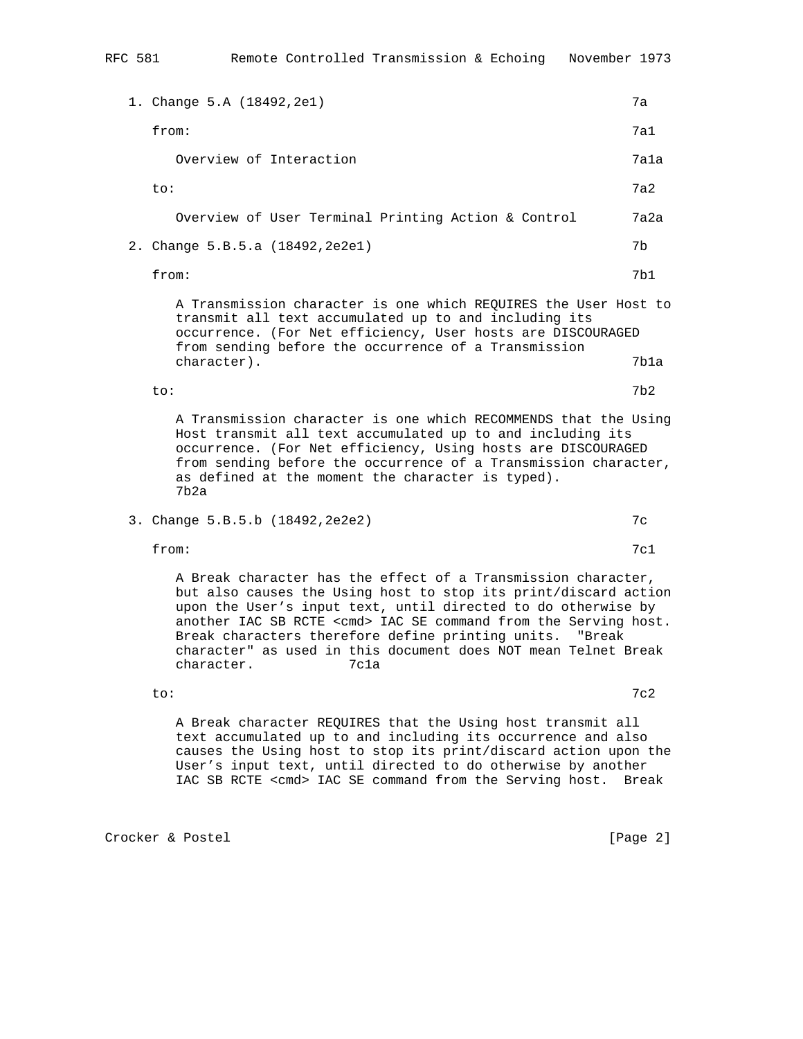1. Change 5.A (18492,2e1) 7a from: 7a1 Overview of Interaction **7a1a**  to: 7a2 Overview of User Terminal Printing Action & Control 7a2a 2. Change 5.B.5.a (18492,2e2e1) 7b from: 7b1 A Transmission character is one which REQUIRES the User Host to transmit all text accumulated up to and including its occurrence. (For Net efficiency, User hosts are DISCOURAGED from sending before the occurrence of a Transmission character). 7b1a to: 7b2 A Transmission character is one which RECOMMENDS that the Using Host transmit all text accumulated up to and including its occurrence. (For Net efficiency, Using hosts are DISCOURAGED from sending before the occurrence of a Transmission character, as defined at the moment the character is typed). 7b2a 3. Change 5.B.5.b (18492,2e2e2) 7c from:  $7c1$  A Break character has the effect of a Transmission character, but also causes the Using host to stop its print/discard action upon the User's input text, until directed to do otherwise by another IAC SB RCTE <cmd> IAC SE command from the Serving host. Break characters therefore define printing units. "Break character" as used in this document does NOT mean Telnet Break character. 7c1a

to: 7c2

 A Break character REQUIRES that the Using host transmit all text accumulated up to and including its occurrence and also causes the Using host to stop its print/discard action upon the User's input text, until directed to do otherwise by another

IAC SB RCTE <cmd> IAC SE command from the Serving host. Break

Crocker & Postel [Page 2]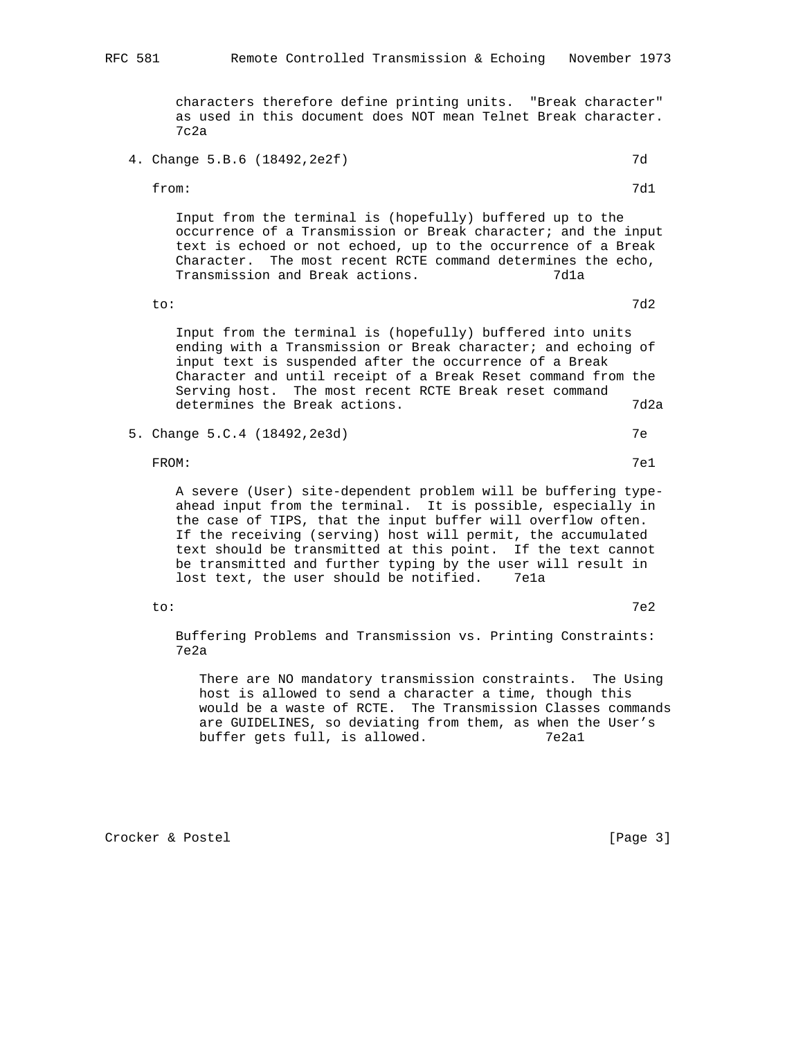characters therefore define printing units. "Break character" as used in this document does NOT mean Telnet Break character. 7c2a

4. Change 5.B.6 (18492,2e2f) 7d

from: 7d1

 Input from the terminal is (hopefully) buffered up to the occurrence of a Transmission or Break character; and the input text is echoed or not echoed, up to the occurrence of a Break Character. The most recent RCTE command determines the echo, Transmission and Break actions. The manuscript of  $7d1a$ 

to: 7d2

 Input from the terminal is (hopefully) buffered into units ending with a Transmission or Break character; and echoing of input text is suspended after the occurrence of a Break Character and until receipt of a Break Reset command from the Serving host. The most recent RCTE Break reset command determines the Break actions. The manufacturer of  $7d2a$ 

5. Change 5.C.4 (18492,2e3d) 7e

FROM: The contract of the contract of the contract of the contract of the contract of the contract of the contract of the contract of the contract of the contract of the contract of the contract of the contract of the cont

 A severe (User) site-dependent problem will be buffering type ahead input from the terminal. It is possible, especially in the case of TIPS, that the input buffer will overflow often. If the receiving (serving) host will permit, the accumulated text should be transmitted at this point. If the text cannot be transmitted and further typing by the user will result in lost text, the user should be notified. 7ela

to: 7e2

 Buffering Problems and Transmission vs. Printing Constraints: 7e2a

 There are NO mandatory transmission constraints. The Using host is allowed to send a character a time, though this would be a waste of RCTE. The Transmission Classes commands are GUIDELINES, so deviating from them, as when the User's buffer gets full, is allowed. 7e2a1

Crocker & Postel [Page 3]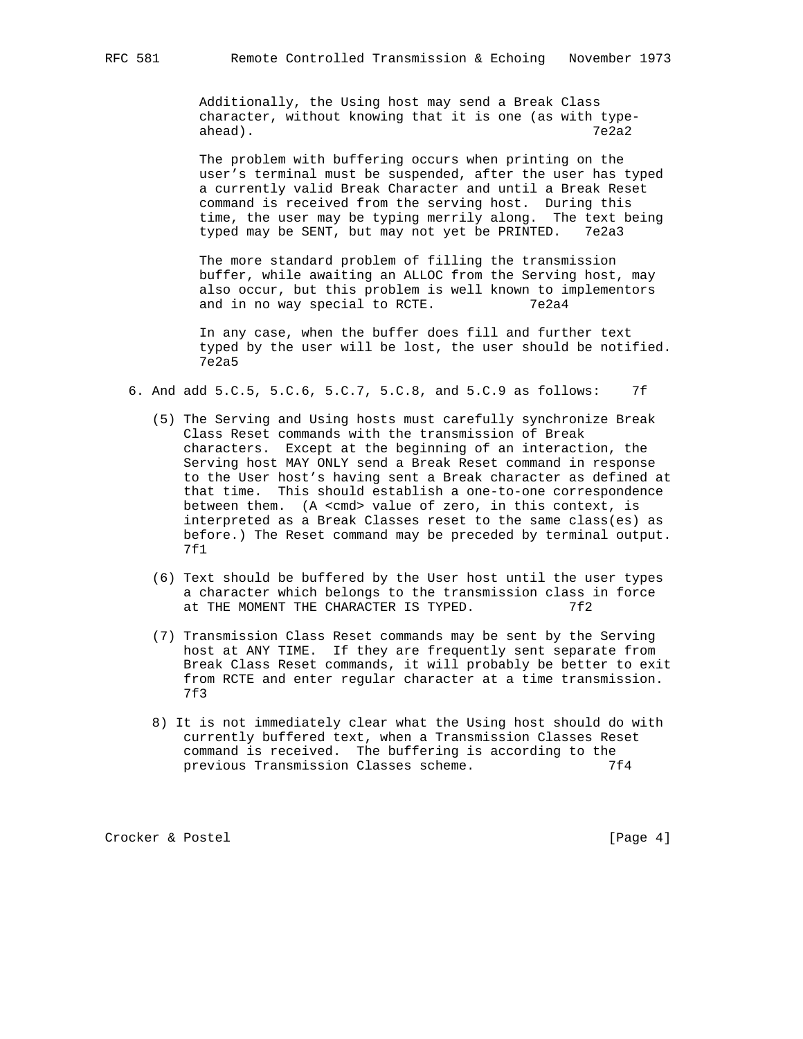Additionally, the Using host may send a Break Class character, without knowing that it is one (as with type ahead). 7e2a2

> The problem with buffering occurs when printing on the user's terminal must be suspended, after the user has typed a currently valid Break Character and until a Break Reset command is received from the serving host. During this time, the user may be typing merrily along. The text being typed may be SENT, but may not yet be PRINTED. 7e2a3

 The more standard problem of filling the transmission buffer, while awaiting an ALLOC from the Serving host, may also occur, but this problem is well known to implementors and in no way special to RCTE. 7e2a4

 In any case, when the buffer does fill and further text typed by the user will be lost, the user should be notified. 7e2a5

- 6. And add 5.C.5, 5.C.6, 5.C.7, 5.C.8, and 5.C.9 as follows: 7f
	- (5) The Serving and Using hosts must carefully synchronize Break Class Reset commands with the transmission of Break characters. Except at the beginning of an interaction, the Serving host MAY ONLY send a Break Reset command in response to the User host's having sent a Break character as defined at that time. This should establish a one-to-one correspondence between them. (A <cmd> value of zero, in this context, is interpreted as a Break Classes reset to the same class(es) as before.) The Reset command may be preceded by terminal output. 7f1
	- (6) Text should be buffered by the User host until the user types a character which belongs to the transmission class in force at THE MOMENT THE CHARACTER IS TYPED. 7f2
	- (7) Transmission Class Reset commands may be sent by the Serving host at ANY TIME. If they are frequently sent separate from Break Class Reset commands, it will probably be better to exit from RCTE and enter regular character at a time transmission. 7f3
	- 8) It is not immediately clear what the Using host should do with currently buffered text, when a Transmission Classes Reset command is received. The buffering is according to the previous Transmission Classes scheme. 7f4

Crocker & Postel [Page 4]